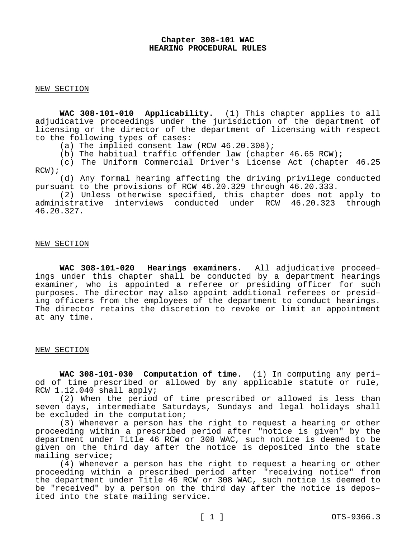## **Chapter 308-101 WAC HEARING PROCEDURAL RULES**

#### NEW SECTION

**WAC 308-101-010 Applicability.** (1) This chapter applies to all adjudicative proceedings under the jurisdiction of the department of licensing or the director of the department of licensing with respect to the following types of cases:

(a) The implied consent law (RCW  $46.20.308$ );

(b) The habitual traffic offender law (chapter 46.65 RCW);

(c) The Uniform Commercial Driver's License Act (chapter 46.25  $RCW$ );

(d) Any formal hearing affecting the driving privilege conducted pursuant to the provisions of RCW 46.20.329 through 46.20.333.

(2) Unless otherwise specified, this chapter does not apply to administrative interviews conducted under RCW 46.20.323 through 46.20.327.

## NEW SECTION

**WAC 308-101-020 Hearings examiners.** All adjudicative proceedings under this chapter shall be conducted by a department hearings examiner, who is appointed a referee or presiding officer for such purposes. The director may also appoint additional referees or presiding officers from the employees of the department to conduct hearings. The director retains the discretion to revoke or limit an appointment at any time.

## NEW SECTION

**WAC 308-101-030 Computation of time.** (1) In computing any period of time prescribed or allowed by any applicable statute or rule, RCW 1.12.040 shall apply;

(2) When the period of time prescribed or allowed is less than seven days, intermediate Saturdays, Sundays and legal holidays shall be excluded in the computation;

(3) Whenever a person has the right to request a hearing or other proceeding within a prescribed period after "notice is given" by the department under Title 46 RCW or 308 WAC, such notice is deemed to be given on the third day after the notice is deposited into the state mailing service;

(4) Whenever a person has the right to request a hearing or other proceeding within a prescribed period after "receiving notice" from the department under Title 46 RCW or 308 WAC, such notice is deemed to be "received" by a person on the third day after the notice is deposited into the state mailing service.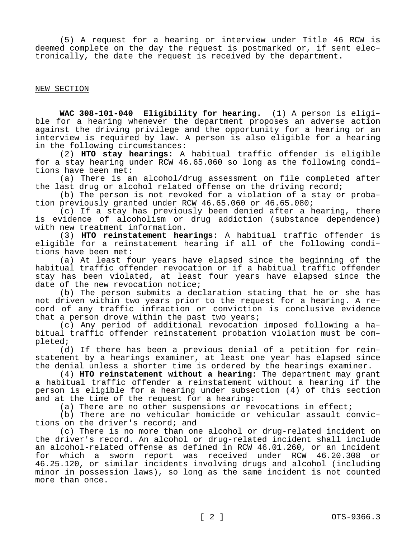(5) A request for a hearing or interview under Title 46 RCW is deemed complete on the day the request is postmarked or, if sent electronically, the date the request is received by the department.

NEW SECTION

**WAC 308-101-040 Eligibility for hearing.** (1) A person is eligible for a hearing whenever the department proposes an adverse action against the driving privilege and the opportunity for a hearing or an interview is required by law. A person is also eligible for a hearing in the following circumstances:

(2) **HTO stay hearings:** A habitual traffic offender is eligible for a stay hearing under RCW 46.65.060 so long as the following conditions have been met:

(a) There is an alcohol/drug assessment on file completed after the last drug or alcohol related offense on the driving record;

(b) The person is not revoked for a violation of a stay or probation previously granted under RCW 46.65.060 or 46.65.080;

(c) If a stay has previously been denied after a hearing, there is evidence of alcoholism or drug addiction (substance dependence) with new treatment information.

(3) **HTO reinstatement hearings:** A habitual traffic offender is eligible for a reinstatement hearing if all of the following conditions have been met:

(a) At least four years have elapsed since the beginning of the habitual traffic offender revocation or if a habitual traffic offender stay has been violated, at least four years have elapsed since the date of the new revocation notice;

(b) The person submits a declaration stating that he or she has not driven within two years prior to the request for a hearing. A record of any traffic infraction or conviction is conclusive evidence that a person drove within the past two years;

(c) Any period of additional revocation imposed following a habitual traffic offender reinstatement probation violation must be completed;

(d) If there has been a previous denial of a petition for reinstatement by a hearings examiner, at least one year has elapsed since the denial unless a shorter time is ordered by the hearings examiner.

(4) **HTO reinstatement without a hearing:** The department may grant a habitual traffic offender a reinstatement without a hearing if the person is eligible for a hearing under subsection (4) of this section and at the time of the request for a hearing:

(a) There are no other suspensions or revocations in effect;

(b) There are no vehicular homicide or vehicular assault convictions on the driver's record; and

(c) There is no more than one alcohol or drug-related incident on the driver's record. An alcohol or drug-related incident shall include an alcohol-related offense as defined in RCW 46.01.260, or an incident for which a sworn report was received under RCW 46.20.308 or 46.25.120, or similar incidents involving drugs and alcohol (including minor in possession laws), so long as the same incident is not counted more than once.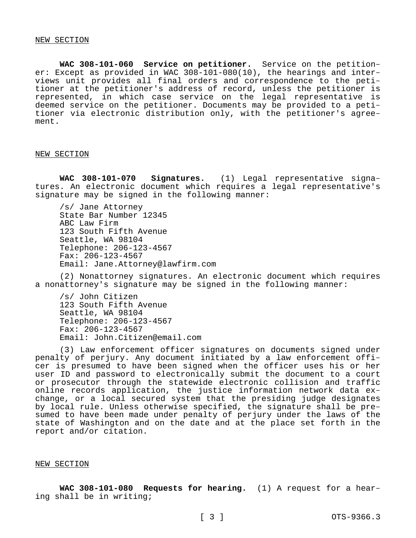**WAC 308-101-060 Service on petitioner.** Service on the petitioner: Except as provided in WAC 308-101-080(10), the hearings and interviews unit provides all final orders and correspondence to the petitioner at the petitioner's address of record, unless the petitioner is represented, in which case service on the legal representative is deemed service on the petitioner. Documents may be provided to a petitioner via electronic distribution only, with the petitioner's agreement.

#### NEW SECTION

**WAC 308-101-070 Signatures.** (1) Legal representative signatures. An electronic document which requires a legal representative's signature may be signed in the following manner:

/s/ Jane Attorney State Bar Number 12345 ABC Law Firm 123 South Fifth Avenue Seattle, WA 98104 Telephone: 206-123-4567 Fax: 206-123-4567 Email: Jane.Attorney@lawfirm.com

(2) Nonattorney signatures. An electronic document which requires a nonattorney's signature may be signed in the following manner:

/s/ John Citizen 123 South Fifth Avenue Seattle, WA 98104 Telephone: 206-123-4567 Fax: 206-123-4567 Email: John.Citizen@email.com

(3) Law enforcement officer signatures on documents signed under penalty of perjury. Any document initiated by a law enforcement officer is presumed to have been signed when the officer uses his or her user ID and password to electronically submit the document to a court or prosecutor through the statewide electronic collision and traffic online records application, the justice information network data exchange, or a local secured system that the presiding judge designates by local rule. Unless otherwise specified, the signature shall be presumed to have been made under penalty of perjury under the laws of the state of Washington and on the date and at the place set forth in the report and/or citation.

#### NEW SECTION

**WAC 308-101-080 Requests for hearing.** (1) A request for a hearing shall be in writing;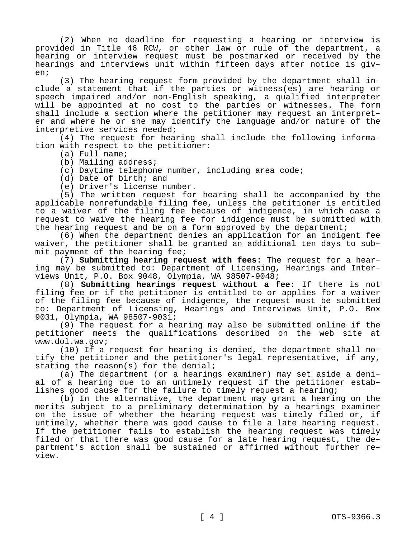(2) When no deadline for requesting a hearing or interview is provided in Title 46 RCW, or other law or rule of the department, a hearing or interview request must be postmarked or received by the hearings and interviews unit within fifteen days after notice is given;

(3) The hearing request form provided by the department shall include a statement that if the parties or witness(es) are hearing or speech impaired and/or non-English speaking, a qualified interpreter will be appointed at no cost to the parties or witnesses. The form shall include a section where the petitioner may request an interpreter and where he or she may identify the language and/or nature of the interpretive services needed;

(4) The request for hearing shall include the following information with respect to the petitioner:

- (a) Full name;
- (b) Mailing address;
- (c) Daytime telephone number, including area code;
- (d) Date of birth; and
- (e) Driver's license number.

(5) The written request for hearing shall be accompanied by the applicable nonrefundable filing fee, unless the petitioner is entitled to a waiver of the filing fee because of indigence, in which case a request to waive the hearing fee for indigence must be submitted with the hearing request and be on a form approved by the department;

(6) When the department denies an application for an indigent fee waiver, the petitioner shall be granted an additional ten days to submit payment of the hearing fee;

(7) **Submitting hearing request with fees:** The request for a hearing may be submitted to: Department of Licensing, Hearings and Interviews Unit, P.O. Box 9048, Olympia, WA 98507-9048;

(8) **Submitting hearings request without a fee:** If there is not filing fee or if the petitioner is entitled to or applies for a waiver of the filing fee because of indigence, the request must be submitted to: Department of Licensing, Hearings and Interviews Unit, P.O. Box 9031, Olympia, WA 98507-9031;

(9) The request for a hearing may also be submitted online if the petitioner meets the qualifications described on the web site at www.dol.wa.gov;

(10) If a request for hearing is denied, the department shall notify the petitioner and the petitioner's legal representative, if any, stating the reason(s) for the denial;

(a) The department (or a hearings examiner) may set aside a denial of a hearing due to an untimely request if the petitioner establishes good cause for the failure to timely request a hearing;

(b) In the alternative, the department may grant a hearing on the merits subject to a preliminary determination by a hearings examiner on the issue of whether the hearing request was timely filed or, if untimely, whether there was good cause to file a late hearing request. If the petitioner fails to establish the hearing request was timely filed or that there was good cause for a late hearing request, the department's action shall be sustained or affirmed without further review.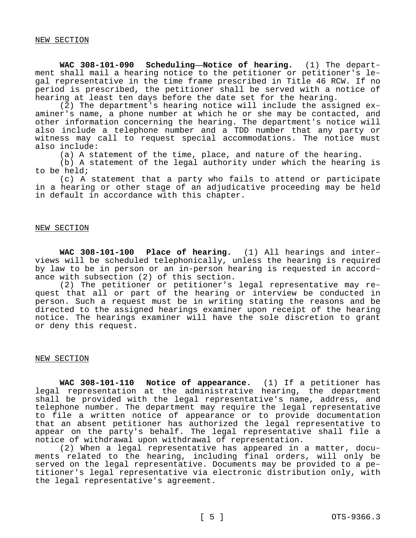**WAC 308-101-090 Scheduling—Notice of hearing.** (1) The department shall mail a hearing notice to the petitioner or petitioner's legal representative in the time frame prescribed in Title 46 RCW. If no period is prescribed, the petitioner shall be served with a notice of hearing at least ten days before the date set for the hearing.

(2) The department's hearing notice will include the assigned examiner's name, a phone number at which he or she may be contacted, and other information concerning the hearing. The department's notice will also include a telephone number and a TDD number that any party or witness may call to request special accommodations. The notice must also include:

(a) A statement of the time, place, and nature of the hearing.

(b) A statement of the legal authority under which the hearing is to be held;

(c) A statement that a party who fails to attend or participate in a hearing or other stage of an adjudicative proceeding may be held in default in accordance with this chapter.

#### NEW SECTION

**WAC 308-101-100 Place of hearing.** (1) All hearings and interviews will be scheduled telephonically, unless the hearing is required by law to be in person or an in-person hearing is requested in accordance with subsection (2) of this section.

(2) The petitioner or petitioner's legal representative may request that all or part of the hearing or interview be conducted in person. Such a request must be in writing stating the reasons and be directed to the assigned hearings examiner upon receipt of the hearing notice. The hearings examiner will have the sole discretion to grant or deny this request.

#### NEW SECTION

**WAC 308-101-110 Notice of appearance.** (1) If a petitioner has legal representation at the administrative hearing, the department shall be provided with the legal representative's name, address, and telephone number. The department may require the legal representative to file a written notice of appearance or to provide documentation that an absent petitioner has authorized the legal representative to appear on the party's behalf. The legal representative shall file a notice of withdrawal upon withdrawal of representation.

(2) When a legal representative has appeared in a matter, documents related to the hearing, including final orders, will only be served on the legal representative. Documents may be provided to a petitioner's legal representative via electronic distribution only, with the legal representative's agreement.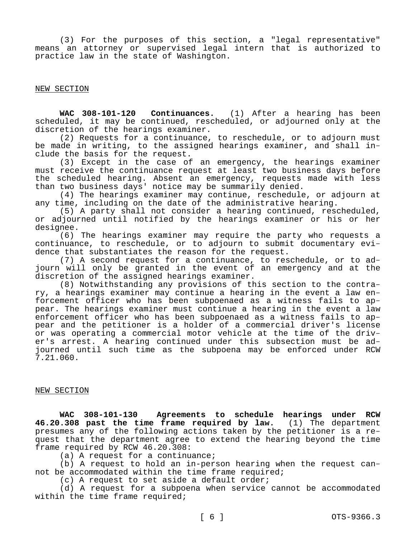(3) For the purposes of this section, a "legal representative" means an attorney or supervised legal intern that is authorized to practice law in the state of Washington.

NEW SECTION

**WAC 308-101-120 Continuances.** (1) After a hearing has been scheduled, it may be continued, rescheduled, or adjourned only at the discretion of the hearings examiner.

(2) Requests for a continuance, to reschedule, or to adjourn must be made in writing, to the assigned hearings examiner, and shall include the basis for the request.

(3) Except in the case of an emergency, the hearings examiner must receive the continuance request at least two business days before the scheduled hearing. Absent an emergency, requests made with less than two business days' notice may be summarily denied.

(4) The hearings examiner may continue, reschedule, or adjourn at any time, including on the date of the administrative hearing.

(5) A party shall not consider a hearing continued, rescheduled, or adjourned until notified by the hearings examiner or his or her designee.

(6) The hearings examiner may require the party who requests a continuance, to reschedule, or to adjourn to submit documentary evidence that substantiates the reason for the request.

(7) A second request for a continuance, to reschedule, or to adjourn will only be granted in the event of an emergency and at the discretion of the assigned hearings examiner.

(8) Notwithstanding any provisions of this section to the contrary, a hearings examiner may continue a hearing in the event a law enforcement officer who has been subpoenaed as a witness fails to appear. The hearings examiner must continue a hearing in the event a law enforcement officer who has been subpoenaed as a witness fails to appear and the petitioner is a holder of a commercial driver's license or was operating a commercial motor vehicle at the time of the driver's arrest. A hearing continued under this subsection must be adjourned until such time as the subpoena may be enforced under RCW 7.21.060.

# NEW SECTION

**WAC 308-101-130 Agreements to schedule hearings under RCW 46.20.308 past the time frame required by law.** (1) The department presumes any of the following actions taken by the petitioner is a request that the department agree to extend the hearing beyond the time frame required by RCW 46.20.308:

(a) A request for a continuance;

(b) A request to hold an in-person hearing when the request cannot be accommodated within the time frame required;

(c) A request to set aside a default order;

(d) A request for a subpoena when service cannot be accommodated within the time frame required;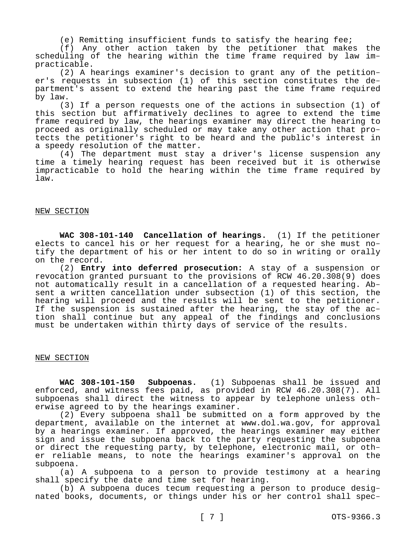(e) Remitting insufficient funds to satisfy the hearing fee;

(f) Any other action taken by the petitioner that makes the scheduling of the hearing within the time frame required by law impracticable.

(2) A hearings examiner's decision to grant any of the petitioner's requests in subsection (1) of this section constitutes the department's assent to extend the hearing past the time frame required by law.

(3) If a person requests one of the actions in subsection (1) of this section but affirmatively declines to agree to extend the time frame required by law, the hearings examiner may direct the hearing to proceed as originally scheduled or may take any other action that protects the petitioner's right to be heard and the public's interest in a speedy resolution of the matter.

(4) The department must stay a driver's license suspension any time a timely hearing request has been received but it is otherwise impracticable to hold the hearing within the time frame required by law.

# NEW SECTION

**WAC 308-101-140 Cancellation of hearings.** (1) If the petitioner elects to cancel his or her request for a hearing, he or she must notify the department of his or her intent to do so in writing or orally on the record.

(2) **Entry into deferred prosecution:** A stay of a suspension or revocation granted pursuant to the provisions of RCW 46.20.308(9) does not automatically result in a cancellation of a requested hearing. Absent a written cancellation under subsection (1) of this section, the hearing will proceed and the results will be sent to the petitioner. If the suspension is sustained after the hearing, the stay of the action shall continue but any appeal of the findings and conclusions must be undertaken within thirty days of service of the results.

## NEW SECTION

**WAC 308-101-150 Subpoenas.** (1) Subpoenas shall be issued and enforced, and witness fees paid, as provided in RCW 46.20.308(7). All subpoenas shall direct the witness to appear by telephone unless otherwise agreed to by the hearings examiner.

(2) Every subpoena shall be submitted on a form approved by the department, available on the internet at www.dol.wa.gov, for approval by a hearings examiner. If approved, the hearings examiner may either sign and issue the subpoena back to the party requesting the subpoena or direct the requesting party, by telephone, electronic mail, or other reliable means, to note the hearings examiner's approval on the subpoena.

(a) A subpoena to a person to provide testimony at a hearing shall specify the date and time set for hearing.

(b) A subpoena duces tecum requesting a person to produce designated books, documents, or things under his or her control shall spec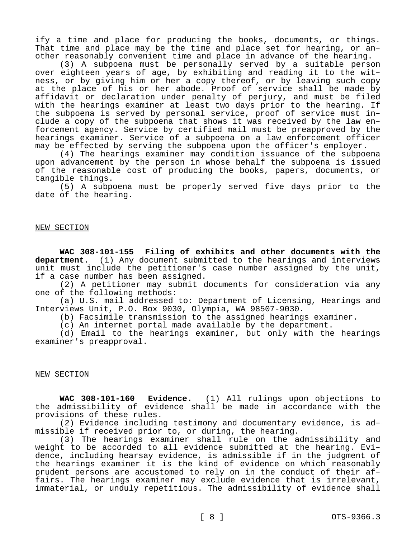ify a time and place for producing the books, documents, or things. That time and place may be the time and place set for hearing, or another reasonably convenient time and place in advance of the hearing.

(3) A subpoena must be personally served by a suitable person over eighteen years of age, by exhibiting and reading it to the witness, or by giving him or her a copy thereof, or by leaving such copy at the place of his or her abode. Proof of service shall be made by affidavit or declaration under penalty of perjury, and must be filed with the hearings examiner at least two days prior to the hearing. If the subpoena is served by personal service, proof of service must include a copy of the subpoena that shows it was received by the law enforcement agency. Service by certified mail must be preapproved by the hearings examiner. Service of a subpoena on a law enforcement officer may be effected by serving the subpoena upon the officer's employer.

(4) The hearings examiner may condition issuance of the subpoena upon advancement by the person in whose behalf the subpoena is issued of the reasonable cost of producing the books, papers, documents, or tangible things.

(5) A subpoena must be properly served five days prior to the date of the hearing.

## NEW SECTION

**WAC 308-101-155 Filing of exhibits and other documents with the department.** (1) Any document submitted to the hearings and interviews unit must include the petitioner's case number assigned by the unit, if a case number has been assigned.

(2) A petitioner may submit documents for consideration via any one of the following methods:

(a) U.S. mail addressed to: Department of Licensing, Hearings and Interviews Unit, P.O. Box 9030, Olympia, WA 98507-9030.

(b) Facsimile transmission to the assigned hearings examiner.

(c) An internet portal made available by the department.

(d) Email to the hearings examiner, but only with the hearings examiner's preapproval.

## NEW SECTION

**WAC 308-101-160 Evidence.** (1) All rulings upon objections to the admissibility of evidence shall be made in accordance with the provisions of these rules.

(2) Evidence including testimony and documentary evidence, is admissible if received prior to, or during, the hearing.

(3) The hearings examiner shall rule on the admissibility and weight to be accorded to all evidence submitted at the hearing. Evidence, including hearsay evidence, is admissible if in the judgment of the hearings examiner it is the kind of evidence on which reasonably prudent persons are accustomed to rely on in the conduct of their affairs. The hearings examiner may exclude evidence that is irrelevant, immaterial, or unduly repetitious. The admissibility of evidence shall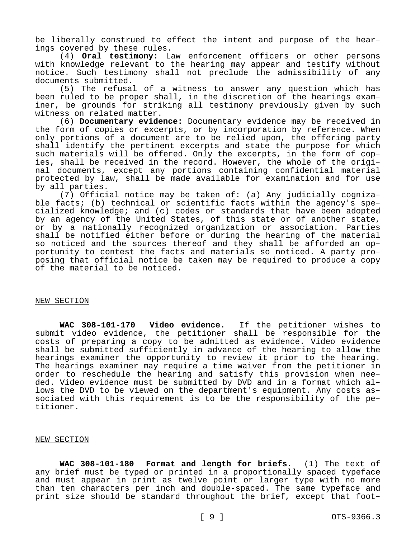be liberally construed to effect the intent and purpose of the hearings covered by these rules.

(4) **Oral testimony:** Law enforcement officers or other persons with knowledge relevant to the hearing may appear and testify without notice. Such testimony shall not preclude the admissibility of any documents submitted.

(5) The refusal of a witness to answer any question which has been ruled to be proper shall, in the discretion of the hearings examiner, be grounds for striking all testimony previously given by such witness on related matter.

(6) **Documentary evidence:** Documentary evidence may be received in the form of copies or excerpts, or by incorporation by reference. When only portions of a document are to be relied upon, the offering party shall identify the pertinent excerpts and state the purpose for which such materials will be offered. Only the excerpts, in the form of copies, shall be received in the record. However, the whole of the original documents, except any portions containing confidential material protected by law, shall be made available for examination and for use by all parties.

(7) Official notice may be taken of: (a) Any judicially cognizable facts; (b) technical or scientific facts within the agency's specialized knowledge; and (c) codes or standards that have been adopted by an agency of the United States, of this state or of another state, or by a nationally recognized organization or association. Parties shall be notified either before or during the hearing of the material so noticed and the sources thereof and they shall be afforded an opportunity to contest the facts and materials so noticed. A party proposing that official notice be taken may be required to produce a copy of the material to be noticed.

#### NEW SECTION

**WAC 308-101-170 Video evidence.** If the petitioner wishes to submit video evidence, the petitioner shall be responsible for the costs of preparing a copy to be admitted as evidence. Video evidence shall be submitted sufficiently in advance of the hearing to allow the hearings examiner the opportunity to review it prior to the hearing. The hearings examiner may require a time waiver from the petitioner in order to reschedule the hearing and satisfy this provision when needed. Video evidence must be submitted by DVD and in a format which allows the DVD to be viewed on the department's equipment. Any costs associated with this requirement is to be the responsibility of the petitioner.

## NEW SECTION

**WAC 308-101-180 Format and length for briefs.** (1) The text of any brief must be typed or printed in a proportionally spaced typeface and must appear in print as twelve point or larger type with no more than ten characters per inch and double-spaced. The same typeface and print size should be standard throughout the brief, except that foot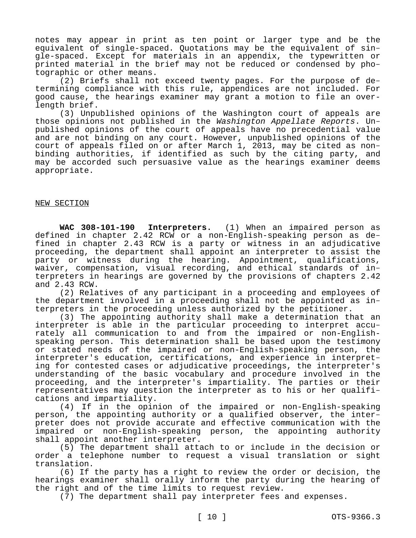notes may appear in print as ten point or larger type and be the equivalent of single-spaced. Quotations may be the equivalent of single-spaced. Except for materials in an appendix, the typewritten or printed material in the brief may not be reduced or condensed by photographic or other means.

(2) Briefs shall not exceed twenty pages. For the purpose of determining compliance with this rule, appendices are not included. For good cause, the hearings examiner may grant a motion to file an overlength brief.

(3) Unpublished opinions of the Washington court of appeals are those opinions not published in the *Washington Appellate Reports*. Unpublished opinions of the court of appeals have no precedential value and are not binding on any court. However, unpublished opinions of the court of appeals filed on or after March 1, 2013, may be cited as nonbinding authorities, if identified as such by the citing party, and may be accorded such persuasive value as the hearings examiner deems appropriate.

# NEW SECTION

**WAC 308-101-190 Interpreters.** (1) When an impaired person as defined in chapter 2.42 RCW or a non-English-speaking person as defined in chapter 2.43 RCW is a party or witness in an adjudicative proceeding, the department shall appoint an interpreter to assist the party or witness during the hearing. Appointment, qualifications, waiver, compensation, visual recording, and ethical standards of interpreters in hearings are governed by the provisions of chapters 2.42 and 2.43 RCW.

(2) Relatives of any participant in a proceeding and employees of the department involved in a proceeding shall not be appointed as interpreters in the proceeding unless authorized by the petitioner.

(3) The appointing authority shall make a determination that an interpreter is able in the particular proceeding to interpret accurately all communication to and from the impaired or non-Englishspeaking person. This determination shall be based upon the testimony or stated needs of the impaired or non-English-speaking person, the interpreter's education, certifications, and experience in interpreting for contested cases or adjudicative proceedings, the interpreter's understanding of the basic vocabulary and procedure involved in the proceeding, and the interpreter's impartiality. The parties or their representatives may question the interpreter as to his or her qualifications and impartiality.

(4) If in the opinion of the impaired or non-English-speaking person, the appointing authority or a qualified observer, the interpreter does not provide accurate and effective communication with the impaired or non-English-speaking person, the appointing authority shall appoint another interpreter.

(5) The department shall attach to or include in the decision or order a telephone number to request a visual translation or sight translation.

(6) If the party has a right to review the order or decision, the hearings examiner shall orally inform the party during the hearing of the right and of the time limits to request review.

(7) The department shall pay interpreter fees and expenses.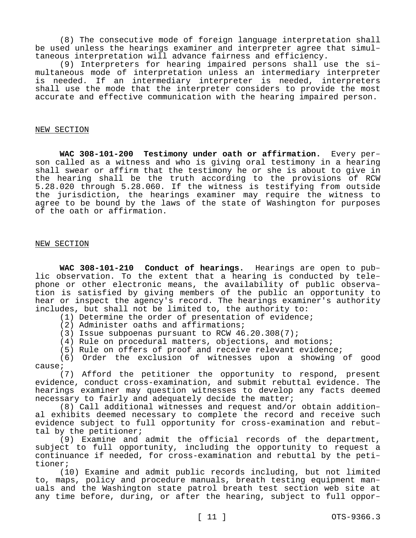(8) The consecutive mode of foreign language interpretation shall be used unless the hearings examiner and interpreter agree that simultaneous interpretation will advance fairness and efficiency.

(9) Interpreters for hearing impaired persons shall use the simultaneous mode of interpretation unless an intermediary interpreter is needed. If an intermediary interpreter is needed, interpreters shall use the mode that the interpreter considers to provide the most accurate and effective communication with the hearing impaired person.

#### NEW SECTION

**WAC 308-101-200 Testimony under oath or affirmation.** Every person called as a witness and who is giving oral testimony in a hearing shall swear or affirm that the testimony he or she is about to give in the hearing shall be the truth according to the provisions of RCW 5.28.020 through 5.28.060. If the witness is testifying from outside the jurisdiction, the hearings examiner may require the witness to agree to be bound by the laws of the state of Washington for purposes of the oath or affirmation.

## NEW SECTION

**WAC 308-101-210 Conduct of hearings.** Hearings are open to public observation. To the extent that a hearing is conducted by telephone or other electronic means, the availability of public observation is satisfied by giving members of the public an opportunity to hear or inspect the agency's record. The hearings examiner's authority includes, but shall not be limited to, the authority to:

(1) Determine the order of presentation of evidence;

(2) Administer oaths and affirmations;

(3) Issue subpoenas pursuant to RCW 46.20.308(7);

(4) Rule on procedural matters, objections, and motions;

(5) Rule on offers of proof and receive relevant evidence;

(6) Order the exclusion of witnesses upon a showing of good cause;

(7) Afford the petitioner the opportunity to respond, present evidence, conduct cross-examination, and submit rebuttal evidence. The hearings examiner may question witnesses to develop any facts deemed necessary to fairly and adequately decide the matter;

(8) Call additional witnesses and request and/or obtain additional exhibits deemed necessary to complete the record and receive such evidence subject to full opportunity for cross-examination and rebuttal by the petitioner;

(9) Examine and admit the official records of the department, subject to full opportunity, including the opportunity to request a continuance if needed, for cross-examination and rebuttal by the petitioner;

(10) Examine and admit public records including, but not limited to, maps, policy and procedure manuals, breath testing equipment manuals and the Washington state patrol breath test section web site at any time before, during, or after the hearing, subject to full oppor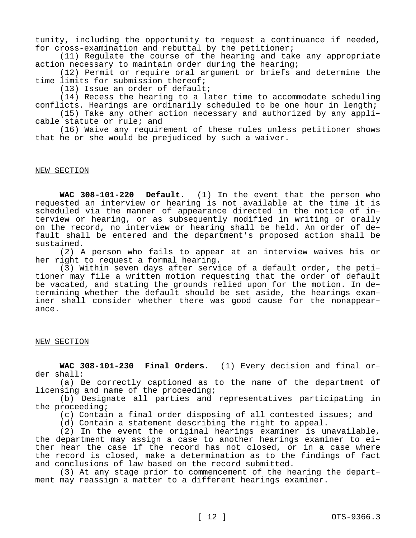tunity, including the opportunity to request a continuance if needed, for cross-examination and rebuttal by the petitioner;

(11) Regulate the course of the hearing and take any appropriate action necessary to maintain order during the hearing;

(12) Permit or require oral argument or briefs and determine the time limits for submission thereof;

(13) Issue an order of default;

(14) Recess the hearing to a later time to accommodate scheduling conflicts. Hearings are ordinarily scheduled to be one hour in length;

(15) Take any other action necessary and authorized by any applicable statute or rule; and

(16) Waive any requirement of these rules unless petitioner shows that he or she would be prejudiced by such a waiver.

# NEW SECTION

**WAC 308-101-220 Default.** (1) In the event that the person who requested an interview or hearing is not available at the time it is scheduled via the manner of appearance directed in the notice of interview or hearing, or as subsequently modified in writing or orally on the record, no interview or hearing shall be held. An order of default shall be entered and the department's proposed action shall be sustained.

(2) A person who fails to appear at an interview waives his or her right to request a formal hearing.

(3) Within seven days after service of a default order, the petitioner may file a written motion requesting that the order of default be vacated, and stating the grounds relied upon for the motion. In determining whether the default should be set aside, the hearings examiner shall consider whether there was good cause for the nonappearance.

## NEW SECTION

**WAC 308-101-230 Final Orders.** (1) Every decision and final order shall:

(a) Be correctly captioned as to the name of the department of licensing and name of the proceeding;

(b) Designate all parties and representatives participating in the proceeding;

(c) Contain a final order disposing of all contested issues; and

(d) Contain a statement describing the right to appeal.

(2) In the event the original hearings examiner is unavailable, the department may assign a case to another hearings examiner to either hear the case if the record has not closed, or in a case where the record is closed, make a determination as to the findings of fact and conclusions of law based on the record submitted.

(3) At any stage prior to commencement of the hearing the department may reassign a matter to a different hearings examiner.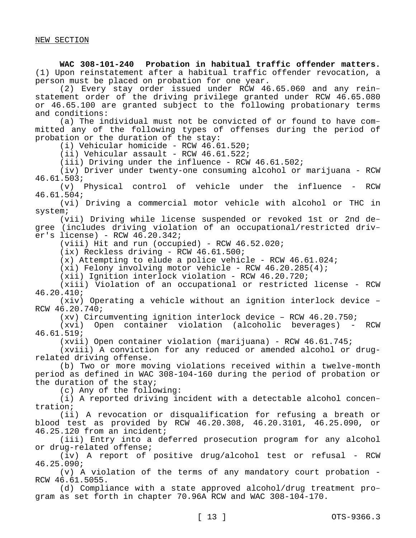**WAC 308-101-240 Probation in habitual traffic offender matters.**  (1) Upon reinstatement after a habitual traffic offender revocation, a person must be placed on probation for one year.

(2) Every stay order issued under RCW 46.65.060 and any reinstatement order of the driving privilege granted under RCW 46.65.080 or 46.65.100 are granted subject to the following probationary terms and conditions:

(a) The individual must not be convicted of or found to have committed any of the following types of offenses during the period of probation or the duration of the stay:

(i) Vehicular homicide - RCW 46.61.520;

 $(i)$  Vehicular assault - RCW 46.61.522;

 $(iii)$  Driving under the influence - RCW  $46.61.502i$ 

(iv) Driver under twenty-one consuming alcohol or marijuana - RCW 46.61.503;

(v) Physical control of vehicle under the influence - RCW 46.61.504;

(vi) Driving a commercial motor vehicle with alcohol or THC in system;

(vii) Driving while license suspended or revoked 1st or 2nd degree (includes driving violation of an occupational/restricted driver's license) - RCW 46.20.342;

 $(viii)$  Hit and run (occupied) - RCW  $46.52.020$ ;

(ix) Reckless driving - RCW 46.61.500;

 $(x)$  Attempting to elude a police vehicle - RCW 46.61.024;

 $(xi)$  Felony involving motor vehicle - RCW 46.20.285(4);

(xii) Ignition interlock violation - RCW 46.20.720;

(xiii) Violation of an occupational or restricted license - RCW 46.20.410;

(xiv) Operating a vehicle without an ignition interlock device – RCW 46.20.740;

(xv) Circumventing ignition interlock device – RCW 46.20.750;

(xvi) Open container violation (alcoholic beverages) - RCW 46.61.519;

(xvii) Open container violation (marijuana) - RCW 46.61.745;

(xviii) A conviction for any reduced or amended alcohol or drugrelated driving offense.

(b) Two or more moving violations received within a twelve-month period as defined in WAC 308-104-160 during the period of probation or the duration of the stay;

(c) Any of the following:

(i) A reported driving incident with a detectable alcohol concentration;

(ii) A revocation or disqualification for refusing a breath or blood test as provided by RCW 46.20.308, 46.20.3101, 46.25.090, or 46.25.120 from an incident;

(iii) Entry into a deferred prosecution program for any alcohol or drug-related offense;

(iv) A report of positive drug/alcohol test or refusal - RCW 46.25.090;

(v) A violation of the terms of any mandatory court probation - RCW 46.61.5055.

(d) Compliance with a state approved alcohol/drug treatment program as set forth in chapter 70.96A RCW and WAC 308-104-170.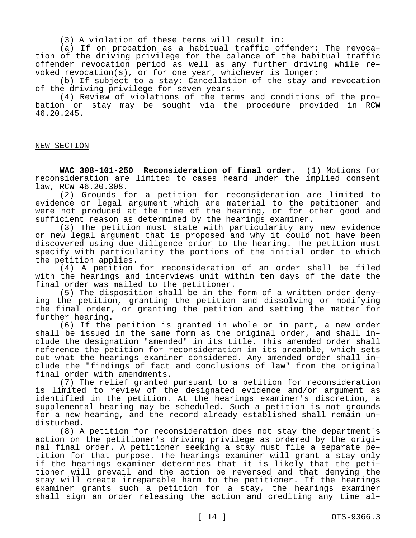(3) A violation of these terms will result in:

(a) If on probation as a habitual traffic offender: The revocation of the driving privilege for the balance of the habitual traffic offender revocation period as well as any further driving while revoked revocation(s), or for one year, whichever is longer;

(b) If subject to a stay: Cancellation of the stay and revocation of the driving privilege for seven years.

(4) Review of violations of the terms and conditions of the probation or stay may be sought via the procedure provided in RCW 46.20.245.

# NEW SECTION

**WAC 308-101-250 Reconsideration of final order.** (1) Motions for reconsideration are limited to cases heard under the implied consent law, RCW 46.20.308.

(2) Grounds for a petition for reconsideration are limited to evidence or legal argument which are material to the petitioner and were not produced at the time of the hearing, or for other good and sufficient reason as determined by the hearings examiner.

(3) The petition must state with particularity any new evidence or new legal argument that is proposed and why it could not have been discovered using due diligence prior to the hearing. The petition must specify with particularity the portions of the initial order to which the petition applies.

(4) A petition for reconsideration of an order shall be filed with the hearings and interviews unit within ten days of the date the final order was mailed to the petitioner.

(5) The disposition shall be in the form of a written order denying the petition, granting the petition and dissolving or modifying the final order, or granting the petition and setting the matter for further hearing.

(6) If the petition is granted in whole or in part, a new order shall be issued in the same form as the original order, and shall include the designation "amended" in its title. This amended order shall reference the petition for reconsideration in its preamble, which sets out what the hearings examiner considered. Any amended order shall include the "findings of fact and conclusions of law" from the original final order with amendments.

(7) The relief granted pursuant to a petition for reconsideration is limited to review of the designated evidence and/or argument as identified in the petition. At the hearings examiner's discretion, a supplemental hearing may be scheduled. Such a petition is not grounds for a new hearing, and the record already established shall remain undisturbed.

(8) A petition for reconsideration does not stay the department's action on the petitioner's driving privilege as ordered by the original final order. A petitioner seeking a stay must file a separate petition for that purpose. The hearings examiner will grant a stay only if the hearings examiner determines that it is likely that the petitioner will prevail and the action be reversed and that denying the stay will create irreparable harm to the petitioner. If the hearings examiner grants such a petition for a stay, the hearings examiner shall sign an order releasing the action and crediting any time al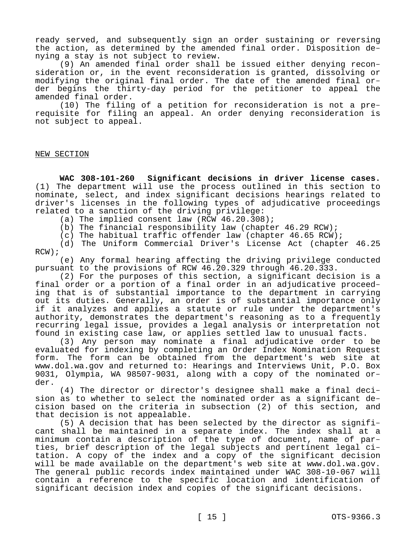ready served, and subsequently sign an order sustaining or reversing the action, as determined by the amended final order. Disposition denying a stay is not subject to review.

(9) An amended final order shall be issued either denying reconsideration or, in the event reconsideration is granted, dissolving or modifying the original final order. The date of the amended final order begins the thirty-day period for the petitioner to appeal the amended final order.

(10) The filing of a petition for reconsideration is not a prerequisite for filing an appeal. An order denying reconsideration is not subject to appeal.

## NEW SECTION

**WAC 308-101-260 Significant decisions in driver license cases.**  (1) The department will use the process outlined in this section to nominate, select, and index significant decisions hearings related to driver's licenses in the following types of adjudicative proceedings related to a sanction of the driving privilege:

(a) The implied consent law (RCW 46.20.308);

(b) The financial responsibility law (chapter 46.29 RCW);

(c) The habitual traffic offender law (chapter 46.65 RCW);

(d) The Uniform Commercial Driver's License Act (chapter 46.25 RCW);

(e) Any formal hearing affecting the driving privilege conducted pursuant to the provisions of RCW 46.20.329 through 46.20.333.

(2) For the purposes of this section, a significant decision is a final order or a portion of a final order in an adjudicative proceeding that is of substantial importance to the department in carrying out its duties. Generally, an order is of substantial importance only if it analyzes and applies a statute or rule under the department's authority, demonstrates the department's reasoning as to a frequently recurring legal issue, provides a legal analysis or interpretation not found in existing case law, or applies settled law to unusual facts.

(3) Any person may nominate a final adjudicative order to be evaluated for indexing by completing an Order Index Nomination Request form. The form can be obtained from the department's web site at www.dol.wa.gov and returned to: Hearings and Interviews Unit, P.O. Box 9031, Olympia, WA 98507-9031, along with a copy of the nominated order.

(4) The director or director's designee shall make a final decision as to whether to select the nominated order as a significant decision based on the criteria in subsection (2) of this section, and that decision is not appealable.

(5) A decision that has been selected by the director as significant shall be maintained in a separate index. The index shall at a minimum contain a description of the type of document, name of parties, brief description of the legal subjects and pertinent legal citation. A copy of the index and a copy of the significant decision will be made available on the department's web site at www.dol.wa.gov. The general public records index maintained under WAC 308-10-067 will contain a reference to the specific location and identification of significant decision index and copies of the significant decisions.